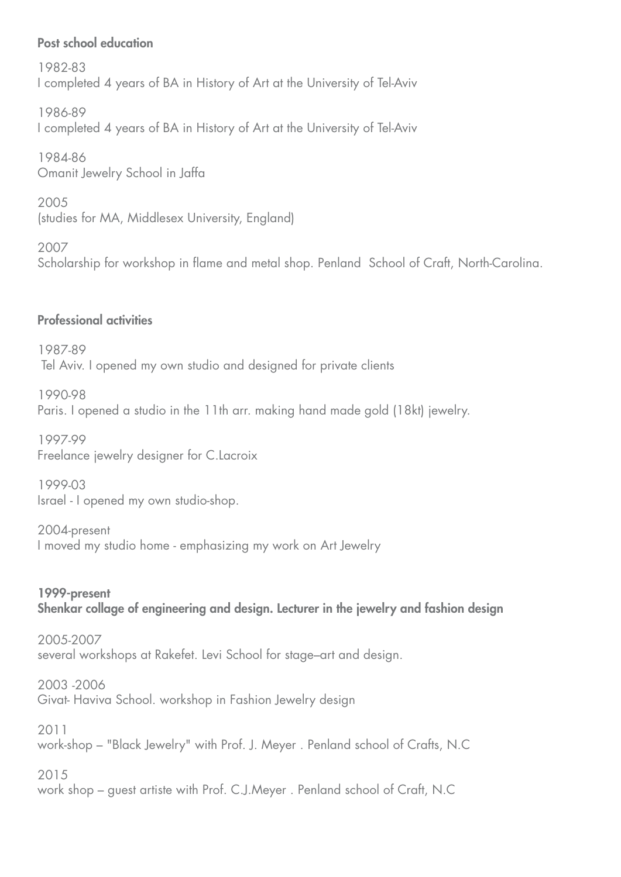## Post school education

 1982-83 I completed 4 years of BA in History of Art at the University of Tel-Aviv

1986-89 I completed 4 years of BA in History of Art at the University of Tel-Aviv

 1984-86 Omanit Jewelry School in Jaffa

 2005 (studies for MA, Middlesex University, England)

 2007 Scholarship for workshop in flame and metal shop. Penland School of Craft, North-Carolina.

## **Professional activities**

 1987-89 Tel Aviv. I opened my own studio and designed for private clients

 1990-98 Paris. I opened a studio in the 11th arr. making hand made gold (18kt) jewelry.

 1997-99 Freelance jewelry designer for C.Lacroix.

 1999-03 Israel - I opened my own studio-shop.

2004-present I moved my studio home - emphasizing my work on Art Jewelry

1999-present Shenkar collage of engineering and design. Lecturer in the jewelry and fashion design

 2005-2007 several workshops at Rakefet. Levi School for stage-art and design.

2006 Givat-Haviva School. workshop in Fashion Jewelry design

 2011 work-shop – "Black Jewelry" with Prof. J. Meyer . Penland school of Crafts, N.C

 2015 work shop – guest artiste with Prof. C.J.Meyer. Penland school of Craft, N.C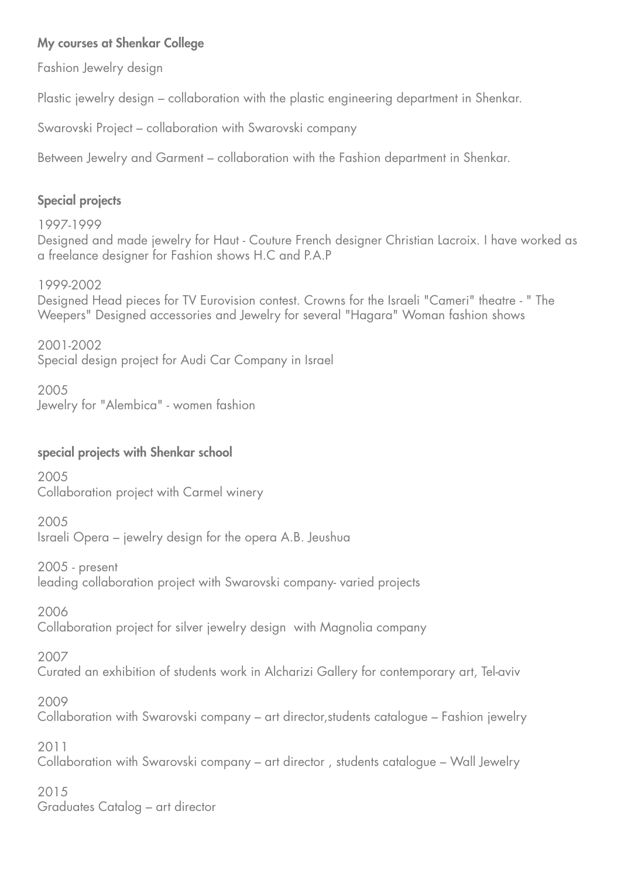## My courses at Shenkar College

Fashion Jewelry design

Plastic jewelry design – collaboration with the plastic engineering department in Shenkar.

Swarovski Project – collaboration with Swarovski company

Between Jewelry and Garment – collaboration with the Fashion department in Shenkar.

# **Special projects**

 1997-1999 Designed and made jewelry for Haut - Couture French designer Christian Lacroix. I have worked as a freelance designer for Fashion shows H.C and P.A.P

1999-2002

Designed Head pieces for TV Eurovision contest. Crowns for the Israeli "Cameri" theatre - " The Weepers" Designed accessories and Jewelry for several "Hagara" Woman fashion shows

 2001-2002 Special design project for Audi Car Company in Israel

 2005 Jewelry for "Alembica" - women fashion

## special projects with Shenkar school

 2005 Collaboration project with Carmel winery

2005 Israeli Opera – jewelry design for the opera A.B. Jeushua

 $2005$  - present leading collaboration project with Swarovski company varied projects

2006

Collaboration project for silver jewelry design with Magnolia company

2007

Curated an exhibition of students work in Alcharizi Gallery for contemporary art, Tel-aviv

2009

Collaboration with Swarovski company – art director, students catalogue – Fashion jewelry

 2011 Collaboration with Swarovski company – art director, students catalogue – Wall Jewelry

 2015 Graduates Catalog – art director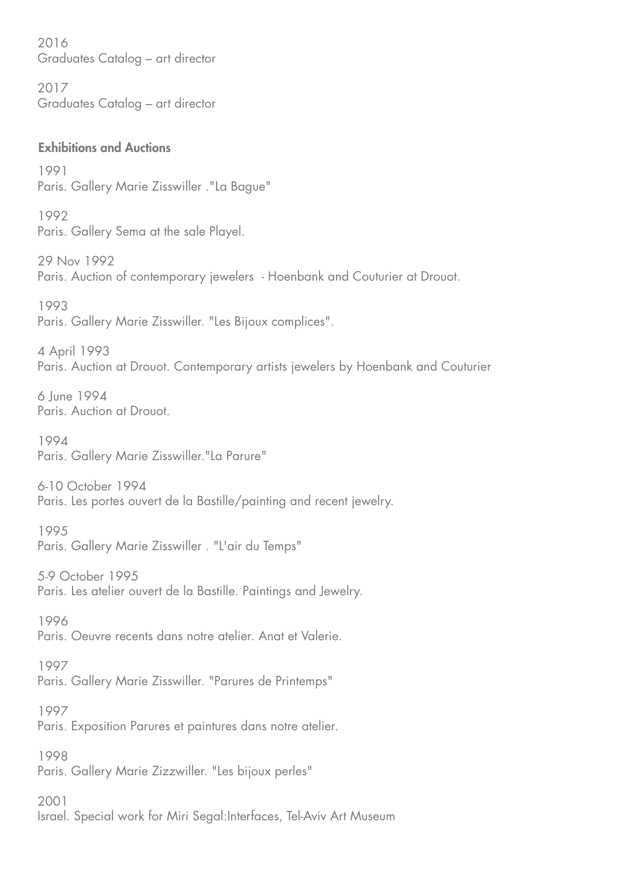2016 Graduates Catalog – art director

 2017 Graduates Catalog – art director

#### **Exhibitions and Auctions**

 1991 Paris. Gallery Marie Zisswiller ."La Bague"

 1992 Paris. Gallery Sema at the sale Playel.

29 Nov 1992 Paris. Auction of contemporary jewelers - Hoenbank and Couturier at Drouot.

 1993 Paris. Gallery Marie Zisswiller. "Les Bijoux complices".

4 April 1993 Paris. Auction at Drouot. Contemporary artists jewelers by Hoenbank and Couturier

6 June 1994 Paris, Auction at Drouot.

 1994 Paris. Gallery Marie Zisswiller. "La Parure"

6-10 October 1994 Paris. Les portes ouvert de la Bastille/painting and recent jewelry.

1995 Paris. Gallery Marie Zisswiller . "L'air du Temps"

5-9 October 1995 Paris. Les atelier ouvert de la Bastille. Paintings and Jewelry.

 1996 Paris. Oeuvre recents dans notre atelier. Anat et Valerie.

 1997 Paris. Gallery Marie Zisswiller. "Parures de Printemps"

 1997 Paris. Exposition Parures et paintures dans notre atelier.

 1998 Paris. Gallery Marie Zizzwiller. "Les bijoux perles"

 2001 Israel. Special work for Miri Segal: Interfaces, Tel-Aviv Art Museum